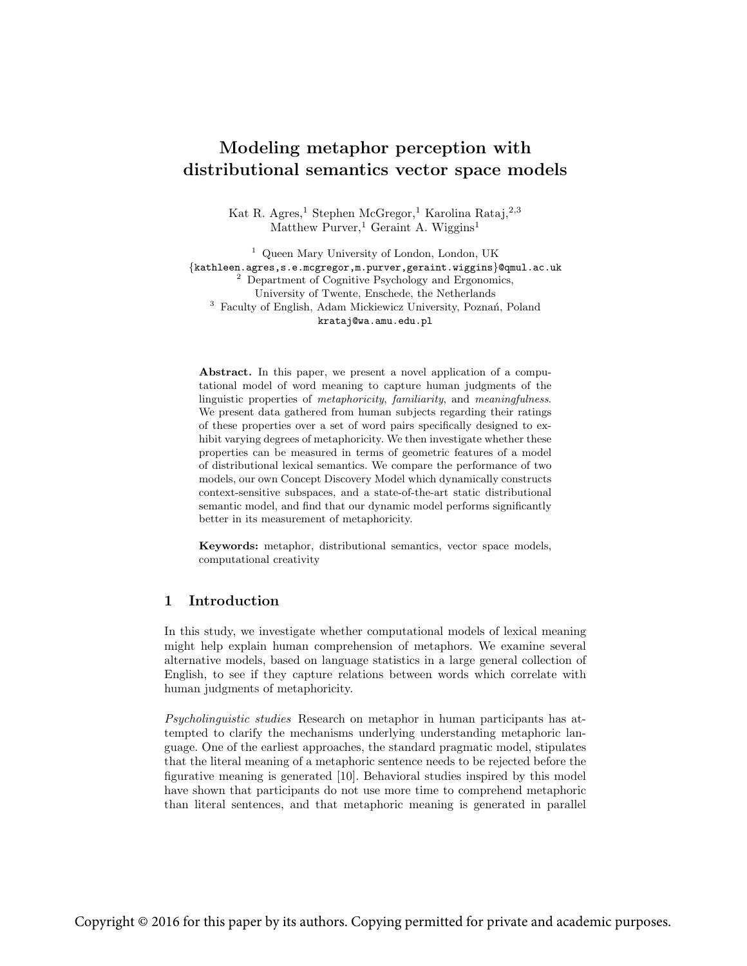# Modeling metaphor perception with distributional semantics vector space models

Kat R. Agres,<sup>1</sup> Stephen McGregor,<sup>1</sup> Karolina Rataj,<sup>2,3</sup> Matthew Purver,<sup>1</sup> Geraint A. Wiggins<sup>1</sup>

<sup>1</sup> Queen Mary University of London, London, UK {kathleen.agres,s.e.mcgregor,m.purver,geraint.wiggins}@qmul.ac.uk  $2$  Department of Cognitive Psychology and Ergonomics, University of Twente, Enschede, the Netherlands <sup>3</sup> Faculty of English, Adam Mickiewicz University, Poznań, Poland krataj@wa.amu.edu.pl

Abstract. In this paper, we present a novel application of a computational model of word meaning to capture human judgments of the linguistic properties of metaphoricity, familiarity, and meaningfulness. We present data gathered from human subjects regarding their ratings of these properties over a set of word pairs specifically designed to exhibit varying degrees of metaphoricity. We then investigate whether these properties can be measured in terms of geometric features of a model of distributional lexical semantics. We compare the performance of two models, our own Concept Discovery Model which dynamically constructs context-sensitive subspaces, and a state-of-the-art static distributional semantic model, and find that our dynamic model performs significantly better in its measurement of metaphoricity.

Keywords: metaphor, distributional semantics, vector space models, computational creativity

# 1 Introduction

In this study, we investigate whether computational models of lexical meaning might help explain human comprehension of metaphors. We examine several alternative models, based on language statistics in a large general collection of English, to see if they capture relations between words which correlate with human judgments of metaphoricity.

Psycholinguistic studies Research on metaphor in human participants has attempted to clarify the mechanisms underlying understanding metaphoric language. One of the earliest approaches, the standard pragmatic model, stipulates that the literal meaning of a metaphoric sentence needs to be rejected before the figurative meaning is generated [10]. Behavioral studies inspired by this model have shown that participants do not use more time to comprehend metaphoric than literal sentences, and that metaphoric meaning is generated in parallel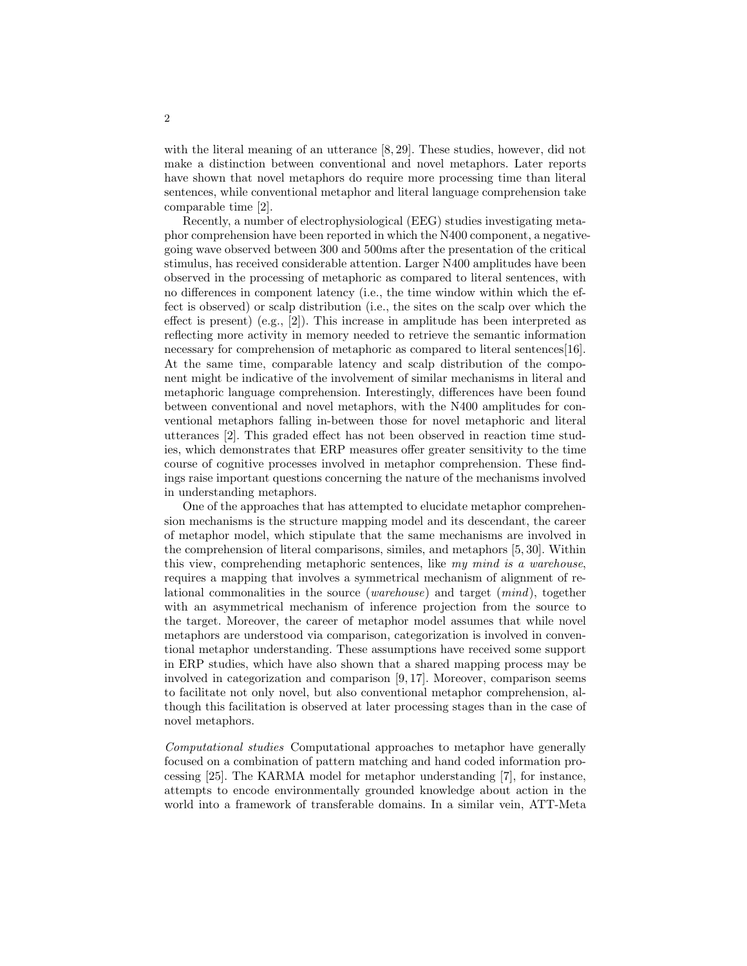with the literal meaning of an utterance [8, 29]. These studies, however, did not make a distinction between conventional and novel metaphors. Later reports have shown that novel metaphors do require more processing time than literal sentences, while conventional metaphor and literal language comprehension take comparable time [2].

Recently, a number of electrophysiological (EEG) studies investigating metaphor comprehension have been reported in which the N400 component, a negativegoing wave observed between 300 and 500ms after the presentation of the critical stimulus, has received considerable attention. Larger N400 amplitudes have been observed in the processing of metaphoric as compared to literal sentences, with no differences in component latency (i.e., the time window within which the effect is observed) or scalp distribution (i.e., the sites on the scalp over which the effect is present) (e.g., [2]). This increase in amplitude has been interpreted as reflecting more activity in memory needed to retrieve the semantic information necessary for comprehension of metaphoric as compared to literal sentences[16]. At the same time, comparable latency and scalp distribution of the component might be indicative of the involvement of similar mechanisms in literal and metaphoric language comprehension. Interestingly, differences have been found between conventional and novel metaphors, with the N400 amplitudes for conventional metaphors falling in-between those for novel metaphoric and literal utterances [2]. This graded effect has not been observed in reaction time studies, which demonstrates that ERP measures offer greater sensitivity to the time course of cognitive processes involved in metaphor comprehension. These findings raise important questions concerning the nature of the mechanisms involved in understanding metaphors.

One of the approaches that has attempted to elucidate metaphor comprehension mechanisms is the structure mapping model and its descendant, the career of metaphor model, which stipulate that the same mechanisms are involved in the comprehension of literal comparisons, similes, and metaphors [5, 30]. Within this view, comprehending metaphoric sentences, like my mind is a warehouse, requires a mapping that involves a symmetrical mechanism of alignment of relational commonalities in the source (warehouse) and target (mind), together with an asymmetrical mechanism of inference projection from the source to the target. Moreover, the career of metaphor model assumes that while novel metaphors are understood via comparison, categorization is involved in conventional metaphor understanding. These assumptions have received some support in ERP studies, which have also shown that a shared mapping process may be involved in categorization and comparison [9, 17]. Moreover, comparison seems to facilitate not only novel, but also conventional metaphor comprehension, although this facilitation is observed at later processing stages than in the case of novel metaphors.

Computational studies Computational approaches to metaphor have generally focused on a combination of pattern matching and hand coded information processing [25]. The KARMA model for metaphor understanding [7], for instance, attempts to encode environmentally grounded knowledge about action in the world into a framework of transferable domains. In a similar vein, ATT-Meta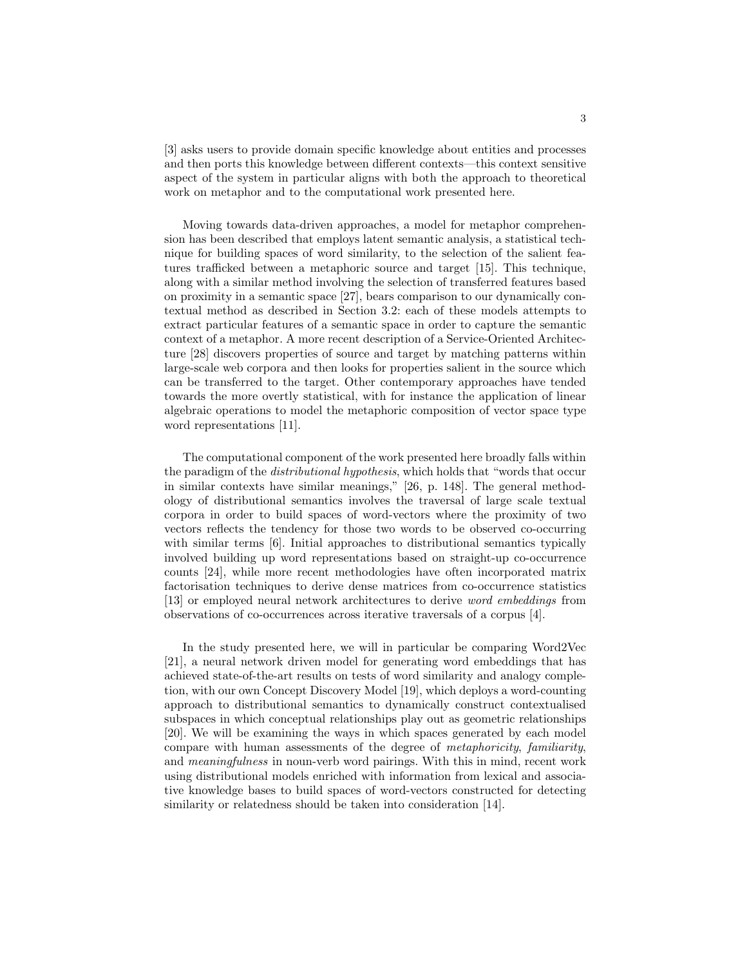[3] asks users to provide domain specific knowledge about entities and processes and then ports this knowledge between different contexts—this context sensitive aspect of the system in particular aligns with both the approach to theoretical work on metaphor and to the computational work presented here.

Moving towards data-driven approaches, a model for metaphor comprehension has been described that employs latent semantic analysis, a statistical technique for building spaces of word similarity, to the selection of the salient features trafficked between a metaphoric source and target [15]. This technique, along with a similar method involving the selection of transferred features based on proximity in a semantic space [27], bears comparison to our dynamically contextual method as described in Section 3.2: each of these models attempts to extract particular features of a semantic space in order to capture the semantic context of a metaphor. A more recent description of a Service-Oriented Architecture [28] discovers properties of source and target by matching patterns within large-scale web corpora and then looks for properties salient in the source which can be transferred to the target. Other contemporary approaches have tended towards the more overtly statistical, with for instance the application of linear algebraic operations to model the metaphoric composition of vector space type word representations [11].

The computational component of the work presented here broadly falls within the paradigm of the *distributional hypothesis*, which holds that "words that occur in similar contexts have similar meanings," [26, p. 148]. The general methodology of distributional semantics involves the traversal of large scale textual corpora in order to build spaces of word-vectors where the proximity of two vectors reflects the tendency for those two words to be observed co-occurring with similar terms [6]. Initial approaches to distributional semantics typically involved building up word representations based on straight-up co-occurrence counts [24], while more recent methodologies have often incorporated matrix factorisation techniques to derive dense matrices from co-occurrence statistics [13] or employed neural network architectures to derive word embeddings from observations of co-occurrences across iterative traversals of a corpus [4].

In the study presented here, we will in particular be comparing Word2Vec [21], a neural network driven model for generating word embeddings that has achieved state-of-the-art results on tests of word similarity and analogy completion, with our own Concept Discovery Model [19], which deploys a word-counting approach to distributional semantics to dynamically construct contextualised subspaces in which conceptual relationships play out as geometric relationships [20]. We will be examining the ways in which spaces generated by each model compare with human assessments of the degree of metaphoricity, familiarity, and meaningfulness in noun-verb word pairings. With this in mind, recent work using distributional models enriched with information from lexical and associative knowledge bases to build spaces of word-vectors constructed for detecting similarity or relatedness should be taken into consideration [14].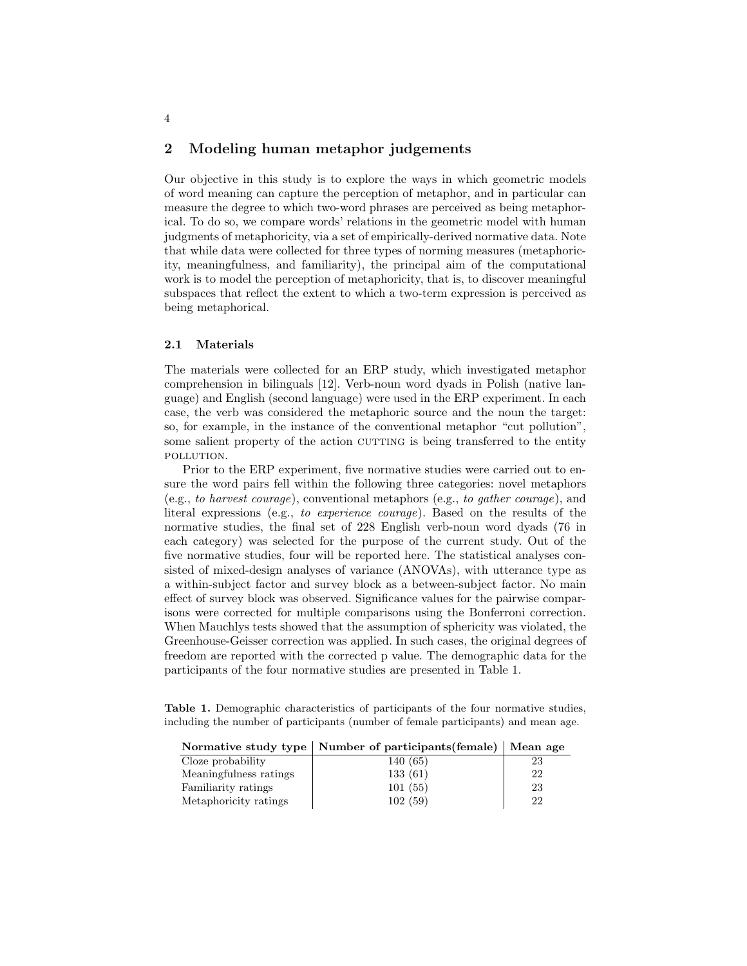# 2 Modeling human metaphor judgements

Our objective in this study is to explore the ways in which geometric models of word meaning can capture the perception of metaphor, and in particular can measure the degree to which two-word phrases are perceived as being metaphorical. To do so, we compare words' relations in the geometric model with human judgments of metaphoricity, via a set of empirically-derived normative data. Note that while data were collected for three types of norming measures (metaphoricity, meaningfulness, and familiarity), the principal aim of the computational work is to model the perception of metaphoricity, that is, to discover meaningful subspaces that reflect the extent to which a two-term expression is perceived as being metaphorical.

#### 2.1 Materials

The materials were collected for an ERP study, which investigated metaphor comprehension in bilinguals [12]. Verb-noun word dyads in Polish (native language) and English (second language) were used in the ERP experiment. In each case, the verb was considered the metaphoric source and the noun the target: so, for example, in the instance of the conventional metaphor "cut pollution", some salient property of the action CUTTING is being transferred to the entity pollution.

Prior to the ERP experiment, five normative studies were carried out to ensure the word pairs fell within the following three categories: novel metaphors (e.g., to harvest courage), conventional metaphors (e.g., to gather courage), and literal expressions (e.g., to experience courage). Based on the results of the normative studies, the final set of 228 English verb-noun word dyads (76 in each category) was selected for the purpose of the current study. Out of the five normative studies, four will be reported here. The statistical analyses consisted of mixed-design analyses of variance (ANOVAs), with utterance type as a within-subject factor and survey block as a between-subject factor. No main effect of survey block was observed. Significance values for the pairwise comparisons were corrected for multiple comparisons using the Bonferroni correction. When Mauchlys tests showed that the assumption of sphericity was violated, the Greenhouse-Geisser correction was applied. In such cases, the original degrees of freedom are reported with the corrected p value. The demographic data for the participants of the four normative studies are presented in Table 1.

Table 1. Demographic characteristics of participants of the four normative studies, including the number of participants (number of female participants) and mean age.

|                        | Normative study type   Number of participants (female)   Mean age |    |
|------------------------|-------------------------------------------------------------------|----|
| Cloze probability      | 140 (65)                                                          | 23 |
| Meaningfulness ratings | 133(61)                                                           | 22 |
| Familiarity ratings    | 101(55)                                                           | 23 |
| Metaphoricity ratings  | 102(59)                                                           | 22 |

4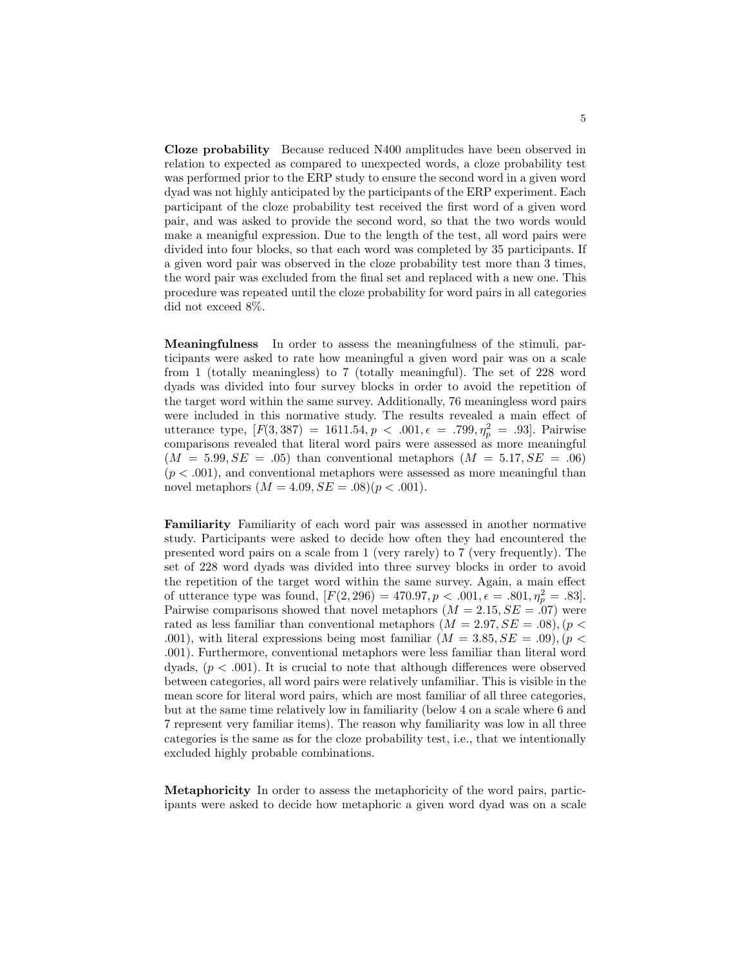Cloze probability Because reduced N400 amplitudes have been observed in relation to expected as compared to unexpected words, a cloze probability test was performed prior to the ERP study to ensure the second word in a given word dyad was not highly anticipated by the participants of the ERP experiment. Each participant of the cloze probability test received the first word of a given word pair, and was asked to provide the second word, so that the two words would make a meanigful expression. Due to the length of the test, all word pairs were divided into four blocks, so that each word was completed by 35 participants. If a given word pair was observed in the cloze probability test more than 3 times, the word pair was excluded from the final set and replaced with a new one. This procedure was repeated until the cloze probability for word pairs in all categories did not exceed 8%.

Meaningfulness In order to assess the meaningfulness of the stimuli, participants were asked to rate how meaningful a given word pair was on a scale from 1 (totally meaningless) to 7 (totally meaningful). The set of 228 word dyads was divided into four survey blocks in order to avoid the repetition of the target word within the same survey. Additionally, 76 meaningless word pairs were included in this normative study. The results revealed a main effect of utterance type,  $[F(3, 387) = 1611.54, p < .001, \epsilon = .799, \eta_p^2 = .93]$ . Pairwise comparisons revealed that literal word pairs were assessed as more meaningful  $(M = 5.99, SE = .05)$  than conventional metaphors  $(M = 5.17, SE = .06)$  $(p < .001)$ , and conventional metaphors were assessed as more meaningful than novel metaphors  $(M = 4.09, SE = .08)(p < .001)$ .

Familiarity Familiarity of each word pair was assessed in another normative study. Participants were asked to decide how often they had encountered the presented word pairs on a scale from 1 (very rarely) to 7 (very frequently). The set of 228 word dyads was divided into three survey blocks in order to avoid the repetition of the target word within the same survey. Again, a main effect of utterance type was found,  $[F(2, 296) = 470.97, p < .001, \epsilon = .801, \eta_p^2 = .83]$ . Pairwise comparisons showed that novel metaphors  $(M = 2.15, SE = .07)$  were rated as less familiar than conventional metaphors  $(M = 2.97, SE = .08), (p <$ .001), with literal expressions being most familiar  $(M = 3.85, SE = .09)$ ,  $(p <$ .001). Furthermore, conventional metaphors were less familiar than literal word dyads,  $(p < .001)$ . It is crucial to note that although differences were observed between categories, all word pairs were relatively unfamiliar. This is visible in the mean score for literal word pairs, which are most familiar of all three categories, but at the same time relatively low in familiarity (below 4 on a scale where 6 and 7 represent very familiar items). The reason why familiarity was low in all three categories is the same as for the cloze probability test, i.e., that we intentionally excluded highly probable combinations.

Metaphoricity In order to assess the metaphoricity of the word pairs, participants were asked to decide how metaphoric a given word dyad was on a scale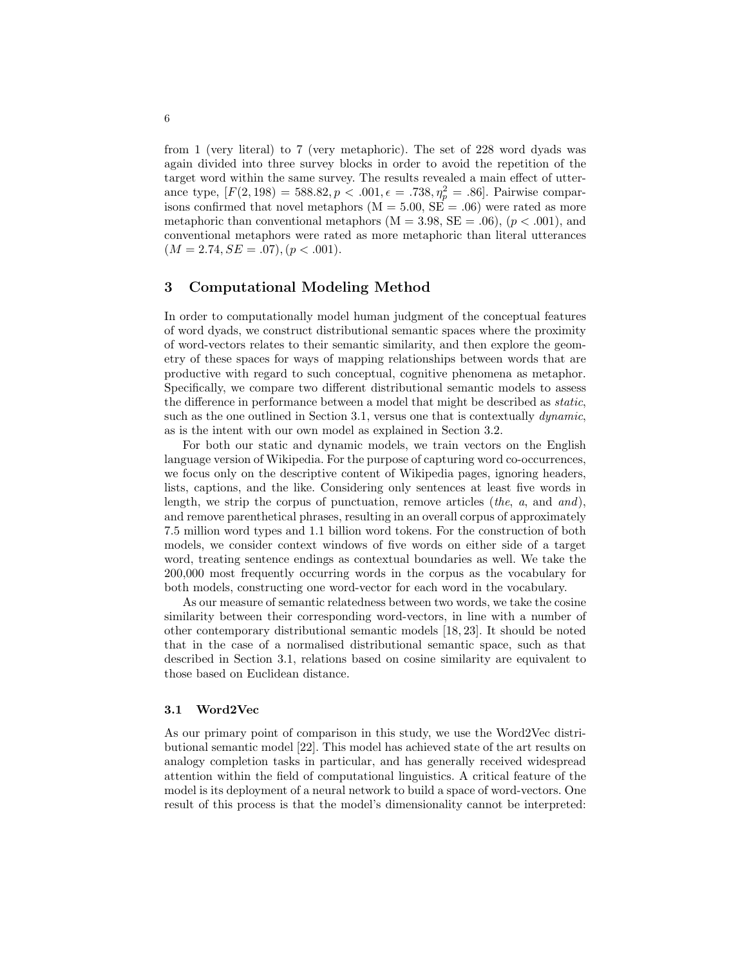from 1 (very literal) to 7 (very metaphoric). The set of 228 word dyads was again divided into three survey blocks in order to avoid the repetition of the target word within the same survey. The results revealed a main effect of utterance type,  $[F(2, 198) = 588.82, p < .001, \epsilon = .738, \eta_p^2 = .86]$ . Pairwise comparisons confirmed that novel metaphors  $(M = 5.00, SE = .06)$  were rated as more metaphoric than conventional metaphors  $(M = 3.98, SE = .06)$ ,  $(p < .001)$ , and conventional metaphors were rated as more metaphoric than literal utterances  $(M = 2.74, SE = .07), (p < .001).$ 

# 3 Computational Modeling Method

In order to computationally model human judgment of the conceptual features of word dyads, we construct distributional semantic spaces where the proximity of word-vectors relates to their semantic similarity, and then explore the geometry of these spaces for ways of mapping relationships between words that are productive with regard to such conceptual, cognitive phenomena as metaphor. Specifically, we compare two different distributional semantic models to assess the difference in performance between a model that might be described as static, such as the one outlined in Section 3.1, versus one that is contextually *dynamic*, as is the intent with our own model as explained in Section 3.2.

For both our static and dynamic models, we train vectors on the English language version of Wikipedia. For the purpose of capturing word co-occurrences, we focus only on the descriptive content of Wikipedia pages, ignoring headers, lists, captions, and the like. Considering only sentences at least five words in length, we strip the corpus of punctuation, remove articles (the, a, and and), and remove parenthetical phrases, resulting in an overall corpus of approximately 7.5 million word types and 1.1 billion word tokens. For the construction of both models, we consider context windows of five words on either side of a target word, treating sentence endings as contextual boundaries as well. We take the 200,000 most frequently occurring words in the corpus as the vocabulary for both models, constructing one word-vector for each word in the vocabulary.

As our measure of semantic relatedness between two words, we take the cosine similarity between their corresponding word-vectors, in line with a number of other contemporary distributional semantic models [18, 23]. It should be noted that in the case of a normalised distributional semantic space, such as that described in Section 3.1, relations based on cosine similarity are equivalent to those based on Euclidean distance.

#### 3.1 Word2Vec

As our primary point of comparison in this study, we use the Word2Vec distributional semantic model [22]. This model has achieved state of the art results on analogy completion tasks in particular, and has generally received widespread attention within the field of computational linguistics. A critical feature of the model is its deployment of a neural network to build a space of word-vectors. One result of this process is that the model's dimensionality cannot be interpreted: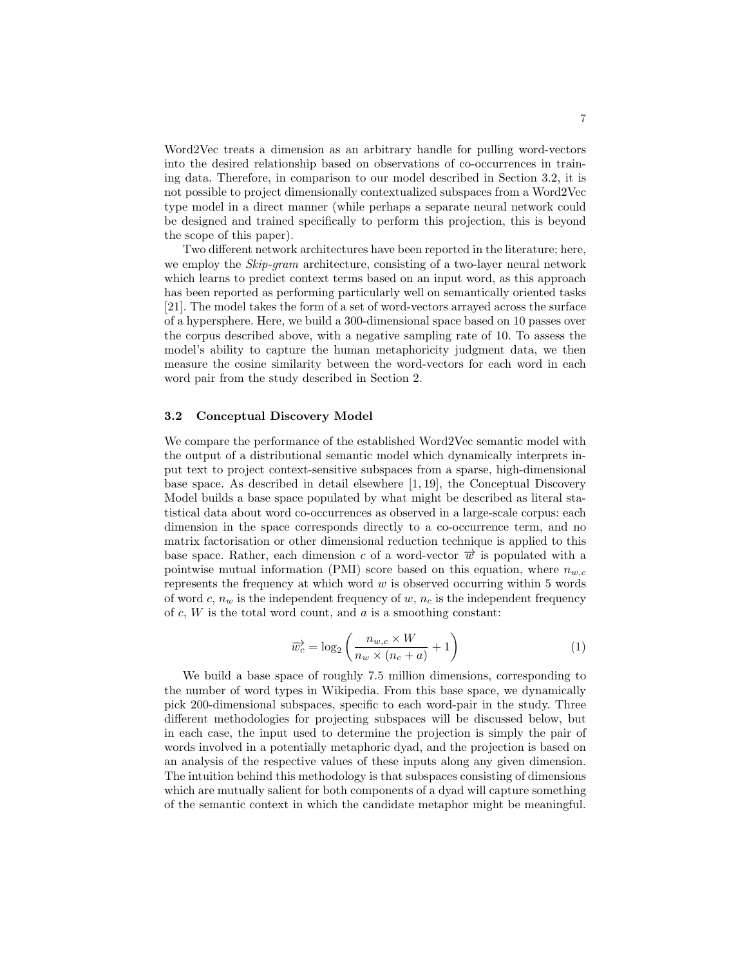Word2Vec treats a dimension as an arbitrary handle for pulling word-vectors into the desired relationship based on observations of co-occurrences in training data. Therefore, in comparison to our model described in Section 3.2, it is not possible to project dimensionally contextualized subspaces from a Word2Vec type model in a direct manner (while perhaps a separate neural network could be designed and trained specifically to perform this projection, this is beyond the scope of this paper).

Two different network architectures have been reported in the literature; here, we employ the *Skip-gram* architecture, consisting of a two-layer neural network which learns to predict context terms based on an input word, as this approach has been reported as performing particularly well on semantically oriented tasks [21]. The model takes the form of a set of word-vectors arrayed across the surface of a hypersphere. Here, we build a 300-dimensional space based on 10 passes over the corpus described above, with a negative sampling rate of 10. To assess the model's ability to capture the human metaphoricity judgment data, we then measure the cosine similarity between the word-vectors for each word in each word pair from the study described in Section 2.

#### 3.2 Conceptual Discovery Model

We compare the performance of the established Word2Vec semantic model with the output of a distributional semantic model which dynamically interprets input text to project context-sensitive subspaces from a sparse, high-dimensional base space. As described in detail elsewhere [1, 19], the Conceptual Discovery Model builds a base space populated by what might be described as literal statistical data about word co-occurrences as observed in a large-scale corpus: each dimension in the space corresponds directly to a co-occurrence term, and no matrix factorisation or other dimensional reduction technique is applied to this base space. Rather, each dimension c of a word-vector  $\vec{w}$  is populated with a pointwise mutual information (PMI) score based on this equation, where  $n_{w,c}$ represents the frequency at which word  $w$  is observed occurring within 5 words of word c,  $n_w$  is the independent frequency of w,  $n_c$  is the independent frequency of  $c, W$  is the total word count, and  $a$  is a smoothing constant:

$$
\overrightarrow{w_c} = \log_2\left(\frac{n_{w,c} \times W}{n_w \times (n_c + a)} + 1\right) \tag{1}
$$

We build a base space of roughly 7.5 million dimensions, corresponding to the number of word types in Wikipedia. From this base space, we dynamically pick 200-dimensional subspaces, specific to each word-pair in the study. Three different methodologies for projecting subspaces will be discussed below, but in each case, the input used to determine the projection is simply the pair of words involved in a potentially metaphoric dyad, and the projection is based on an analysis of the respective values of these inputs along any given dimension. The intuition behind this methodology is that subspaces consisting of dimensions which are mutually salient for both components of a dyad will capture something of the semantic context in which the candidate metaphor might be meaningful.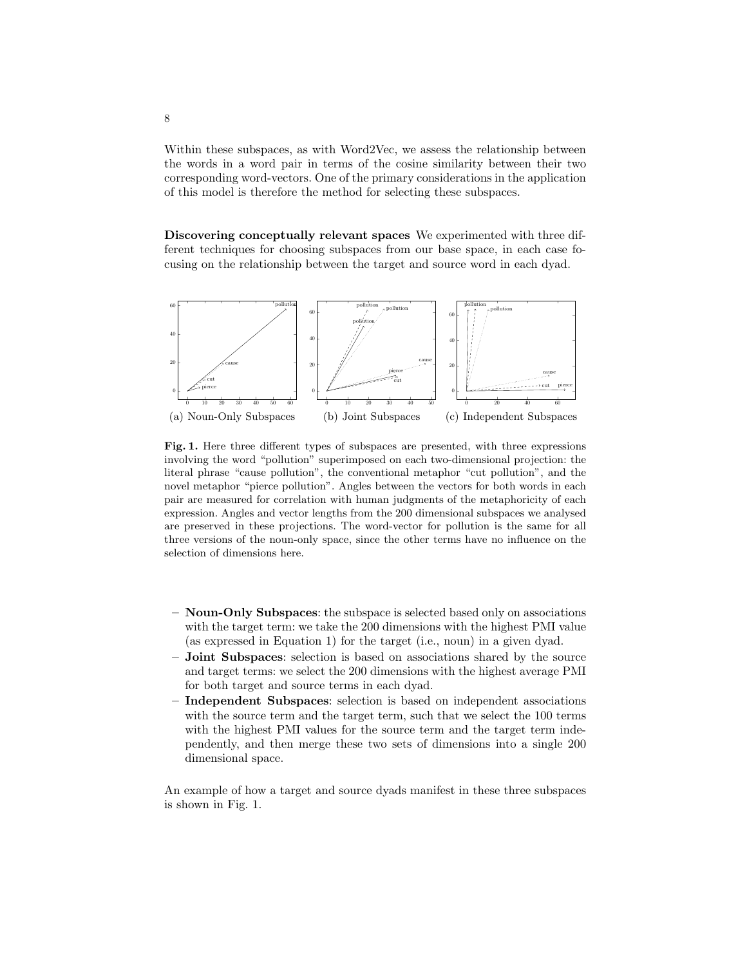Within these subspaces, as with Word2Vec, we assess the relationship between the words in a word pair in terms of the cosine similarity between their two corresponding word-vectors. One of the primary considerations in the application of this model is therefore the method for selecting these subspaces.

Discovering conceptually relevant spaces We experimented with three different techniques for choosing subspaces from our base space, in each case focusing on the relationship between the target and source word in each dyad.



Fig. 1. Here three different types of subspaces are presented, with three expressions involving the word "pollution" superimposed on each two-dimensional projection: the literal phrase "cause pollution", the conventional metaphor "cut pollution", and the novel metaphor "pierce pollution". Angles between the vectors for both words in each pair are measured for correlation with human judgments of the metaphoricity of each expression. Angles and vector lengths from the 200 dimensional subspaces we analysed are preserved in these projections. The word-vector for pollution is the same for all three versions of the noun-only space, since the other terms have no influence on the selection of dimensions here.

- Noun-Only Subspaces: the subspace is selected based only on associations with the target term: we take the 200 dimensions with the highest PMI value (as expressed in Equation 1) for the target (i.e., noun) in a given dyad.
- Joint Subspaces: selection is based on associations shared by the source and target terms: we select the 200 dimensions with the highest average PMI for both target and source terms in each dyad.
- Independent Subspaces: selection is based on independent associations with the source term and the target term, such that we select the 100 terms with the highest PMI values for the source term and the target term independently, and then merge these two sets of dimensions into a single 200 dimensional space.

An example of how a target and source dyads manifest in these three subspaces is shown in Fig. 1.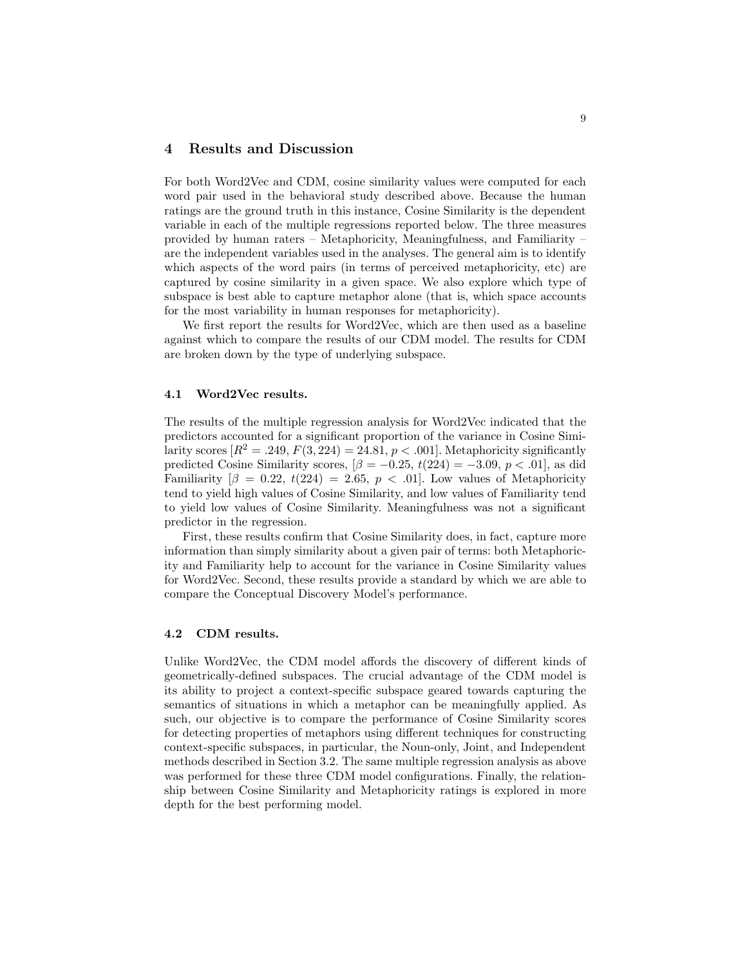## 4 Results and Discussion

For both Word2Vec and CDM, cosine similarity values were computed for each word pair used in the behavioral study described above. Because the human ratings are the ground truth in this instance, Cosine Similarity is the dependent variable in each of the multiple regressions reported below. The three measures provided by human raters – Metaphoricity, Meaningfulness, and Familiarity – are the independent variables used in the analyses. The general aim is to identify which aspects of the word pairs (in terms of perceived metaphoricity, etc) are captured by cosine similarity in a given space. We also explore which type of subspace is best able to capture metaphor alone (that is, which space accounts for the most variability in human responses for metaphoricity).

We first report the results for Word2Vec, which are then used as a baseline against which to compare the results of our CDM model. The results for CDM are broken down by the type of underlying subspace.

### 4.1 Word2Vec results.

The results of the multiple regression analysis for Word2Vec indicated that the predictors accounted for a significant proportion of the variance in Cosine Similarity scores  $[R^2 = .249, F(3, 224) = 24.81, p < .001]$ . Metaphoricity significantly predicted Cosine Similarity scores,  $\beta = -0.25$ ,  $t(224) = -3.09$ ,  $p < .01$ , as did Familiarity  $\beta = 0.22$ ,  $t(224) = 2.65$ ,  $p < .01$ . Low values of Metaphoricity tend to yield high values of Cosine Similarity, and low values of Familiarity tend to yield low values of Cosine Similarity. Meaningfulness was not a significant predictor in the regression.

First, these results confirm that Cosine Similarity does, in fact, capture more information than simply similarity about a given pair of terms: both Metaphoricity and Familiarity help to account for the variance in Cosine Similarity values for Word2Vec. Second, these results provide a standard by which we are able to compare the Conceptual Discovery Model's performance.

#### 4.2 CDM results.

Unlike Word2Vec, the CDM model affords the discovery of different kinds of geometrically-defined subspaces. The crucial advantage of the CDM model is its ability to project a context-specific subspace geared towards capturing the semantics of situations in which a metaphor can be meaningfully applied. As such, our objective is to compare the performance of Cosine Similarity scores for detecting properties of metaphors using different techniques for constructing context-specific subspaces, in particular, the Noun-only, Joint, and Independent methods described in Section 3.2. The same multiple regression analysis as above was performed for these three CDM model configurations. Finally, the relationship between Cosine Similarity and Metaphoricity ratings is explored in more depth for the best performing model.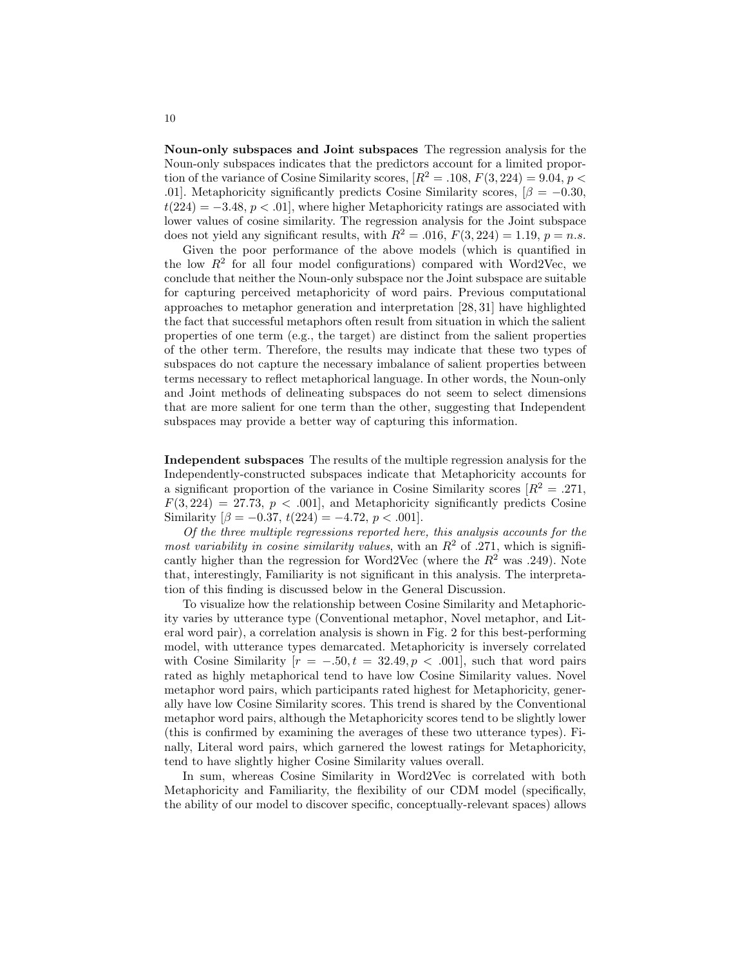Noun-only subspaces and Joint subspaces The regression analysis for the Noun-only subspaces indicates that the predictors account for a limited proportion of the variance of Cosine Similarity scores,  $[R^2 = .108, F(3, 224) = 9.04, p <$ .01]. Metaphoricity significantly predicts Cosine Similarity scores,  $\beta = -0.30$ ,  $t(224) = -3.48, p < .01$ , where higher Metaphoricity ratings are associated with lower values of cosine similarity. The regression analysis for the Joint subspace does not yield any significant results, with  $R^2 = .016$ ,  $F(3, 224) = 1.19$ ,  $p = n.s$ .

Given the poor performance of the above models (which is quantified in the low  $R^2$  for all four model configurations) compared with Word2Vec, we conclude that neither the Noun-only subspace nor the Joint subspace are suitable for capturing perceived metaphoricity of word pairs. Previous computational approaches to metaphor generation and interpretation [28, 31] have highlighted the fact that successful metaphors often result from situation in which the salient properties of one term (e.g., the target) are distinct from the salient properties of the other term. Therefore, the results may indicate that these two types of subspaces do not capture the necessary imbalance of salient properties between terms necessary to reflect metaphorical language. In other words, the Noun-only and Joint methods of delineating subspaces do not seem to select dimensions that are more salient for one term than the other, suggesting that Independent subspaces may provide a better way of capturing this information.

Independent subspaces The results of the multiple regression analysis for the Independently-constructed subspaces indicate that Metaphoricity accounts for a significant proportion of the variance in Cosine Similarity scores  $[R^2 = .271, ]$  $F(3, 224) = 27.73, p < .001$ , and Metaphoricity significantly predicts Cosine Similarity  $\beta = -0.37, t(224) = -4.72, p < .001$ .

Of the three multiple regressions reported here, this analysis accounts for the most variability in cosine similarity values, with an  $R^2$  of .271, which is significantly higher than the regression for Word2Vec (where the  $R^2$  was .249). Note that, interestingly, Familiarity is not significant in this analysis. The interpretation of this finding is discussed below in the General Discussion.

To visualize how the relationship between Cosine Similarity and Metaphoricity varies by utterance type (Conventional metaphor, Novel metaphor, and Literal word pair), a correlation analysis is shown in Fig. 2 for this best-performing model, with utterance types demarcated. Metaphoricity is inversely correlated with Cosine Similarity  $[r = -.50, t = 32.49, p < .001]$ , such that word pairs rated as highly metaphorical tend to have low Cosine Similarity values. Novel metaphor word pairs, which participants rated highest for Metaphoricity, generally have low Cosine Similarity scores. This trend is shared by the Conventional metaphor word pairs, although the Metaphoricity scores tend to be slightly lower (this is confirmed by examining the averages of these two utterance types). Finally, Literal word pairs, which garnered the lowest ratings for Metaphoricity, tend to have slightly higher Cosine Similarity values overall.

In sum, whereas Cosine Similarity in Word2Vec is correlated with both Metaphoricity and Familiarity, the flexibility of our CDM model (specifically, the ability of our model to discover specific, conceptually-relevant spaces) allows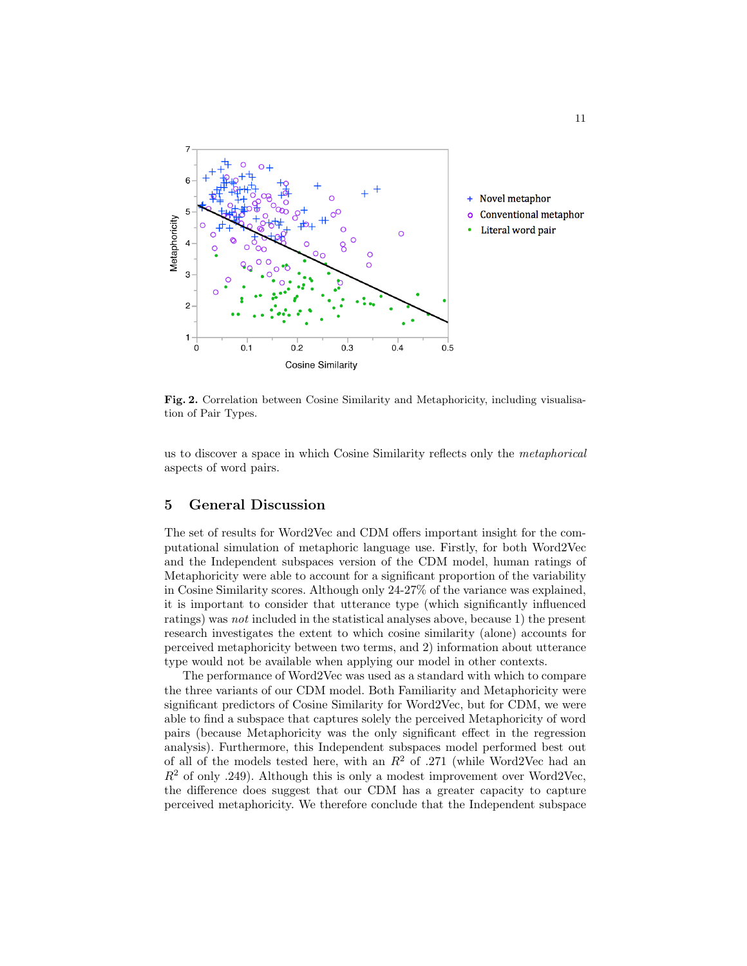

Fig. 2. Correlation between Cosine Similarity and Metaphoricity, including visualisation of Pair Types.

us to discover a space in which Cosine Similarity reflects only the metaphorical aspects of word pairs.

# 5 General Discussion

The set of results for Word2Vec and CDM offers important insight for the computational simulation of metaphoric language use. Firstly, for both Word2Vec and the Independent subspaces version of the CDM model, human ratings of Metaphoricity were able to account for a significant proportion of the variability in Cosine Similarity scores. Although only 24-27% of the variance was explained, it is important to consider that utterance type (which significantly influenced ratings) was not included in the statistical analyses above, because 1) the present research investigates the extent to which cosine similarity (alone) accounts for perceived metaphoricity between two terms, and 2) information about utterance type would not be available when applying our model in other contexts.

The performance of Word2Vec was used as a standard with which to compare the three variants of our CDM model. Both Familiarity and Metaphoricity were significant predictors of Cosine Similarity for Word2Vec, but for CDM, we were able to find a subspace that captures solely the perceived Metaphoricity of word pairs (because Metaphoricity was the only significant effect in the regression analysis). Furthermore, this Independent subspaces model performed best out of all of the models tested here, with an  $R^2$  of .271 (while Word2Vec had an  $R<sup>2</sup>$  of only .249). Although this is only a modest improvement over Word2Vec, the difference does suggest that our CDM has a greater capacity to capture perceived metaphoricity. We therefore conclude that the Independent subspace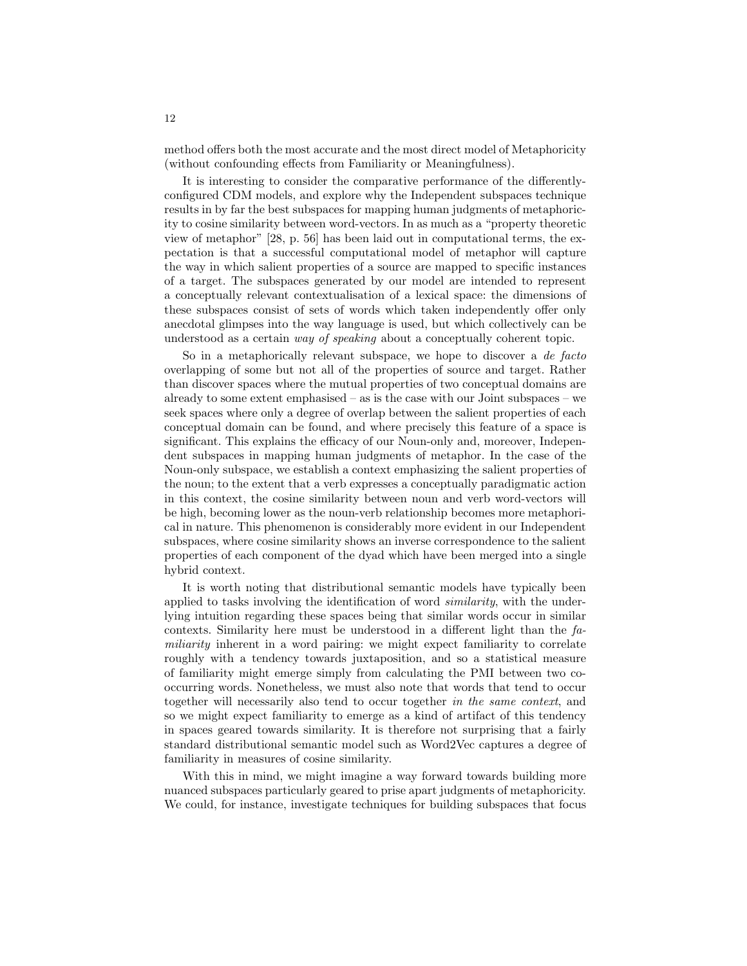method offers both the most accurate and the most direct model of Metaphoricity (without confounding effects from Familiarity or Meaningfulness).

It is interesting to consider the comparative performance of the differentlyconfigured CDM models, and explore why the Independent subspaces technique results in by far the best subspaces for mapping human judgments of metaphoricity to cosine similarity between word-vectors. In as much as a "property theoretic view of metaphor" [28, p. 56] has been laid out in computational terms, the expectation is that a successful computational model of metaphor will capture the way in which salient properties of a source are mapped to specific instances of a target. The subspaces generated by our model are intended to represent a conceptually relevant contextualisation of a lexical space: the dimensions of these subspaces consist of sets of words which taken independently offer only anecdotal glimpses into the way language is used, but which collectively can be understood as a certain way of speaking about a conceptually coherent topic.

So in a metaphorically relevant subspace, we hope to discover a de facto overlapping of some but not all of the properties of source and target. Rather than discover spaces where the mutual properties of two conceptual domains are already to some extent emphasised – as is the case with our Joint subspaces – we seek spaces where only a degree of overlap between the salient properties of each conceptual domain can be found, and where precisely this feature of a space is significant. This explains the efficacy of our Noun-only and, moreover, Independent subspaces in mapping human judgments of metaphor. In the case of the Noun-only subspace, we establish a context emphasizing the salient properties of the noun; to the extent that a verb expresses a conceptually paradigmatic action in this context, the cosine similarity between noun and verb word-vectors will be high, becoming lower as the noun-verb relationship becomes more metaphorical in nature. This phenomenon is considerably more evident in our Independent subspaces, where cosine similarity shows an inverse correspondence to the salient properties of each component of the dyad which have been merged into a single hybrid context.

It is worth noting that distributional semantic models have typically been applied to tasks involving the identification of word similarity, with the underlying intuition regarding these spaces being that similar words occur in similar contexts. Similarity here must be understood in a different light than the  $fa$ miliarity inherent in a word pairing: we might expect familiarity to correlate roughly with a tendency towards juxtaposition, and so a statistical measure of familiarity might emerge simply from calculating the PMI between two cooccurring words. Nonetheless, we must also note that words that tend to occur together will necessarily also tend to occur together in the same context, and so we might expect familiarity to emerge as a kind of artifact of this tendency in spaces geared towards similarity. It is therefore not surprising that a fairly standard distributional semantic model such as Word2Vec captures a degree of familiarity in measures of cosine similarity.

With this in mind, we might imagine a way forward towards building more nuanced subspaces particularly geared to prise apart judgments of metaphoricity. We could, for instance, investigate techniques for building subspaces that focus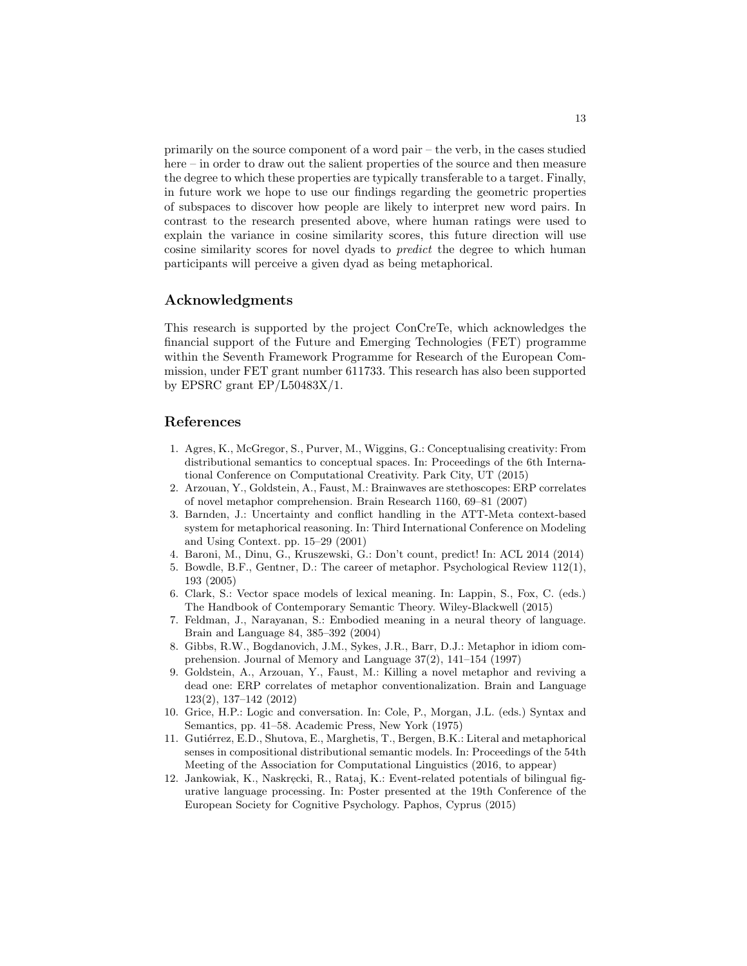primarily on the source component of a word pair – the verb, in the cases studied here – in order to draw out the salient properties of the source and then measure the degree to which these properties are typically transferable to a target. Finally, in future work we hope to use our findings regarding the geometric properties of subspaces to discover how people are likely to interpret new word pairs. In contrast to the research presented above, where human ratings were used to explain the variance in cosine similarity scores, this future direction will use cosine similarity scores for novel dyads to predict the degree to which human participants will perceive a given dyad as being metaphorical.

## Acknowledgments

This research is supported by the project ConCreTe, which acknowledges the financial support of the Future and Emerging Technologies (FET) programme within the Seventh Framework Programme for Research of the European Commission, under FET grant number 611733. This research has also been supported by EPSRC grant EP/L50483X/1.

# References

- 1. Agres, K., McGregor, S., Purver, M., Wiggins, G.: Conceptualising creativity: From distributional semantics to conceptual spaces. In: Proceedings of the 6th International Conference on Computational Creativity. Park City, UT (2015)
- 2. Arzouan, Y., Goldstein, A., Faust, M.: Brainwaves are stethoscopes: ERP correlates of novel metaphor comprehension. Brain Research 1160, 69–81 (2007)
- 3. Barnden, J.: Uncertainty and conflict handling in the ATT-Meta context-based system for metaphorical reasoning. In: Third International Conference on Modeling and Using Context. pp. 15–29 (2001)
- 4. Baroni, M., Dinu, G., Kruszewski, G.: Don't count, predict! In: ACL 2014 (2014)
- 5. Bowdle, B.F., Gentner, D.: The career of metaphor. Psychological Review 112(1), 193 (2005)
- 6. Clark, S.: Vector space models of lexical meaning. In: Lappin, S., Fox, C. (eds.) The Handbook of Contemporary Semantic Theory. Wiley-Blackwell (2015)
- 7. Feldman, J., Narayanan, S.: Embodied meaning in a neural theory of language. Brain and Language 84, 385–392 (2004)
- 8. Gibbs, R.W., Bogdanovich, J.M., Sykes, J.R., Barr, D.J.: Metaphor in idiom comprehension. Journal of Memory and Language 37(2), 141–154 (1997)
- 9. Goldstein, A., Arzouan, Y., Faust, M.: Killing a novel metaphor and reviving a dead one: ERP correlates of metaphor conventionalization. Brain and Language 123(2), 137–142 (2012)
- 10. Grice, H.P.: Logic and conversation. In: Cole, P., Morgan, J.L. (eds.) Syntax and Semantics, pp. 41–58. Academic Press, New York (1975)
- 11. Gutiérrez, E.D., Shutova, E., Marghetis, T., Bergen, B.K.: Literal and metaphorical senses in compositional distributional semantic models. In: Proceedings of the 54th Meeting of the Association for Computational Linguistics (2016, to appear)
- 12. Jankowiak, K., Naskręcki, R., Rataj, K.: Event-related potentials of bilingual figurative language processing. In: Poster presented at the 19th Conference of the European Society for Cognitive Psychology. Paphos, Cyprus (2015)